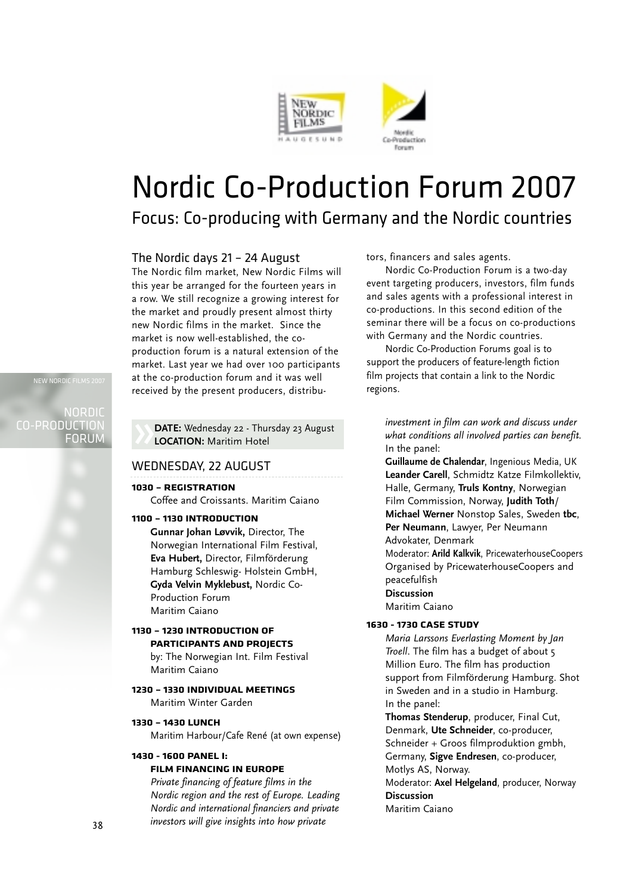

# Nordic Co-Production Forum 2007

### Focus: Co-producing with Germany and the Nordic countries

#### The Nordic days 21 – 24 August

The Nordic film market, New Nordic Films will this year be arranged for the fourteen years in a row. We still recognize a growing interest for the market and proudly present almost thirty new Nordic films in the market. Since the market is now well-established, the coproduction forum is a natural extension of the market. Last year we had over 100 participants at the co-production forum and it was well received by the present producers, distribu-

**DATE:** Wednesday 22 - Thursday 23 August **LOCATION:** Maritim Hotel

#### WEDNESDAY, 22 AUGUST

**1030 – REGISTRATION** Coffee and Croissants. Maritim Caiano

#### **1100 – 1130 INTRODUCTION**

**Gunnar Johan Løvvik,** Director, The Norwegian International Film Festival, **Eva Hubert,** Director, Filmförderung Hamburg Schleswig- Holstein GmbH, **Gyda Velvin Myklebust,** Nordic Co-Production Forum Maritim Caiano

#### **1130 – 1230 INTRODUCTION OF PARTICIPANTS AND PROJECTS**

by: The Norwegian Int. Film Festival Maritim Caiano

#### **1230 – 1330 INDIVIDUAL MEETINGS**

Maritim Winter Garden

#### **1330 – 1430 LUNCH**

Maritim Harbour/Cafe René (at own expense)

#### **1430 - 1600 PANEL I:**

#### **FILM FINANCING IN EUROPE**

*Private financing of feature films in the Nordic region and the rest of Europe. Leading Nordic and international financiers and private investors will give insights into how private*

tors, financers and sales agents.

Nordic Co-Production Forum is a two-day event targeting producers, investors, film funds and sales agents with a professional interest in co-productions. In this second edition of the seminar there will be a focus on co-productions with Germany and the Nordic countries.

Nordic Co-Production Forums goal is to support the producers of feature-length fiction film projects that contain a link to the Nordic regions.

*investment in film can work and discuss under what conditions all involved parties can benefit.* In the panel:

**Guillaume de Chalendar**, Ingenious Media, UK **Leander Carell**, Schmidtz Katze Filmkollektiv, Halle, Germany, **Truls Kontny**, Norwegian Film Commission, Norway, **Judith Toth**/ **Michael Werner** Nonstop Sales, Sweden **tbc**, **Per Neumann**, Lawyer, Per Neumann Advokater, Denmark

Moderator: Arild Kalkvik, PricewaterhouseCoopers Organised by PricewaterhouseCoopers and peacefulfish

#### **Discussion**

Maritim Caiano

#### **1630 - 1730 CASE STUDY**

*Maria Larssons Everlasting Moment by Jan Troell*. The film has a budget of about 5 Million Euro. The film has production support from Filmförderung Hamburg. Shot in Sweden and in a studio in Hamburg. In the panel:

**Thomas Stenderup**, producer, Final Cut, Denmark, **Ute Schneider**, co-producer, Schneider + Groos filmproduktion gmbh, Germany, **Sigve Endresen**, co-producer, Motlys AS, Norway.

Moderator: **Axel Helgeland**, producer, Norway **Discussion** Maritim Caiano

NORDIC CO-PRODUCTION FORUM

NEW NORDIC

38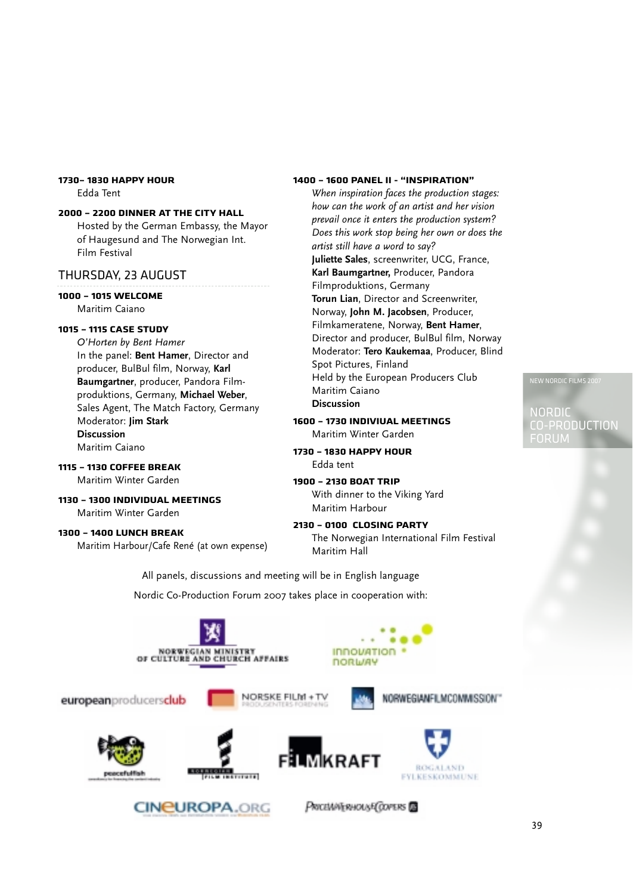#### **1730– 1830 HAPPY HOUR** Edda Tent

#### **2000 – 2200 DINNER AT THE CITY HALL**

Hosted by the German Embassy, the Mayor of Haugesund and The Norwegian Int. Film Festival

#### THURSDAY, 23 AUGUST

#### **1000 – 1015 WELCOME**

Maritim Caiano

#### **1015 – 1115 CASE STUDY**

*O'Horten by Bent Hamer* In the panel: **Bent Hamer**, Director and producer, BulBul film, Norway, **Karl Baumgartner**, producer, Pandora Filmproduktions, Germany, **Michael Weber**, Sales Agent, The Match Factory, Germany Moderator: **Jim Stark Discussion** Maritim Caiano

#### **1115 – 1130 COFFEE BREAK**

Maritim Winter Garden

#### **1130 – 1300 INDIVIDUAL MEETINGS**

Maritim Winter Garden

#### **1300 – 1400 LUNCH BREAK**

Maritim Harbour/Cafe René (at own expense)

#### **1400 – 1600 PANEL II - "INSPIRATION"**

*When inspiration faces the production stages: how can the work of an artist and her vision prevail once it enters the production system? Does this work stop being her own or does the artist still have a word to say?* **Juliette Sales**, screenwriter, UCG, France, Karl Baumgartner, Producer, Pandora Filmproduktions, Germany **Torun Lian**, Director and Screenwriter, Norway, **John M. Jacobsen**, Producer, Filmkameratene, Norway, **Bent Hamer**, Director and producer, BulBul film, Norway Moderator: **Tero Kaukemaa**, Producer, Blind Spot Pictures, Finland Held by the European Producers Club Maritim Caiano **Discussion**

**1600 – 1730 INDIVIUAL MEETINGS** Maritim Winter Garden

#### **1730 – 1830 HAPPY HOUR**  Edda tent

**1900 – 2130 BOAT TRIP** With dinner to the Viking Yard Maritim Harbour

**2130 – 0100 CLOSING PARTY** The Norwegian International Film Festival Maritim Hall

All panels, discussions and meeting will be in English language

Nordic Co-Production Forum 2007 takes place in cooperation with:



NEW NORDIC FILMS 2

NORDIC CO-PRODUCTION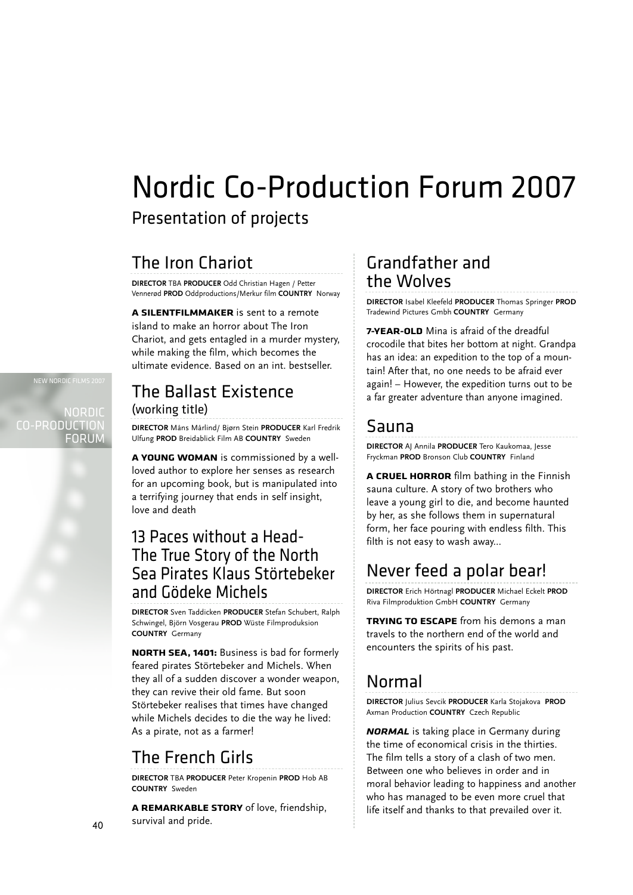# Nordic Co-Production Forum 2007

Presentation of projects

## The Iron Chariot

**DIRECTOR** TBA **PRODUCER** Odd Christian Hagen / Petter Vennerød **PROD** Oddproductions/Merkur film **COUNTRY** Norway

**A SILENTFILMMAKER** is sent to a remote island to make an horror about The Iron Chariot, and gets entagled in a murder mystery, while making the film, which becomes the ultimate evidence. Based on an int. bestseller.

# The Ballast Existence

(working title)

**DIRECTOR** Måns Mårlind/ Bjørn Stein **PRODUCER** Karl Fredrik Ulfung **PROD** Breidablick Film AB **COUNTRY** Sweden

**A YOUNG WOMAN** is commissioned by a wellloved author to explore her senses as research for an upcoming book, but is manipulated into a terrifying journey that ends in self insight, love and death

### 13 Paces without a Head-The True Story of the North Sea Pirates Klaus Störtebeker and Gödeke Michels

**DIRECTOR** Sven Taddicken **PRODUCER** Stefan Schubert, Ralph Schwingel, Björn Vosgerau **PROD** Wüste Filmproduksion **COUNTRY** Germany

**NORTH SEA, 1401:** Business is bad for formerly feared pirates Störtebeker and Michels. When they all of a sudden discover a wonder weapon, they can revive their old fame. But soon Störtebeker realises that times have changed while Michels decides to die the way he lived: As a pirate, not as a farmer!

# The French Girls

**DIRECTOR** TBA **PRODUCER** Peter Kropenin **PROD** Hob AB **COUNTRY** Sweden

**A REMARKABLE STORY** of love, friendship, survival and pride.

### Grandfather and the Wolves

**DIRECTOR** Isabel Kleefeld **PRODUCER** Thomas Springer **PROD** Tradewind Pictures Gmbh **COUNTRY** Germany

**7-YEAR-OLD** Mina is afraid of the dreadful crocodile that bites her bottom at night. Grandpa has an idea: an expedition to the top of a mountain! After that, no one needs to be afraid ever again! – However, the expedition turns out to be a far greater adventure than anyone imagined.

### Sauna

**DIRECTOR** AJ Annila **PRODUCER** Tero Kaukomaa, Jesse Fryckman **PROD** Bronson Club **COUNTRY** Finland

**A CRUEL HORROR** film bathing in the Finnish sauna culture. A story of two brothers who leave a young girl to die, and become haunted by her, as she follows them in supernatural form, her face pouring with endless filth. This filth is not easy to wash away...

# Never feed a polar bear!

**DIRECTOR** Erich Hörtnagl **PRODUCER** Michael Eckelt **PROD** Riva Filmproduktion GmbH **COUNTRY** Germany

**TRYING TO ESCAPE** from his demons a man travels to the northern end of the world and encounters the spirits of his past.

# Normal

**DIRECTOR** Julius Sevcik **PRODUCER** Karla Stojakova **PROD** Axman Production **COUNTRY** Czech Republic

*NORMAL* is taking place in Germany during the time of economical crisis in the thirties. The film tells a story of a clash of two men. Between one who believes in order and in moral behavior leading to happiness and another who has managed to be even more cruel that life itself and thanks to that prevailed over it.

NORDIC CO-PRODUCTION FORUM

NEW NORDIC FILMS 2007

40